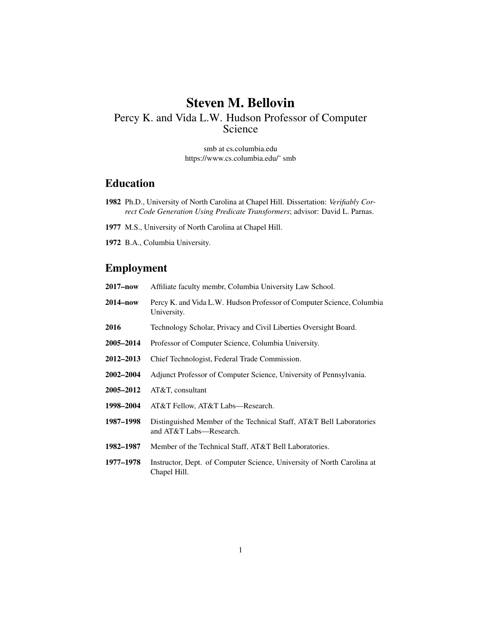# Steven M. Bellovin

## Percy K. and Vida L.W. Hudson Professor of Computer Science

smb at cs.columbia.edu https://www.cs.columbia.edu/~ smb

## Education

- 1982 Ph.D., University of North Carolina at Chapel Hill. Dissertation: *Verifiably Correct Code Generation Using Predicate Transformers*; advisor: David L. Parnas.
- 1977 M.S., University of North Carolina at Chapel Hill.
- 1972 B.A., Columbia University.

#### Employment

- 2017–now Affiliate faculty membr, Columbia University Law School.
- 2014–now Percy K. and Vida L.W. Hudson Professor of Computer Science, Columbia University.
- 2016 Technology Scholar, Privacy and Civil Liberties Oversight Board.
- 2005–2014 Professor of Computer Science, Columbia University.
- 2012–2013 Chief Technologist, Federal Trade Commission.
- 2002–2004 Adjunct Professor of Computer Science, University of Pennsylvania.
- 2005–2012 AT&T, consultant
- 1998–2004 AT&T Fellow, AT&T Labs—Research.
- 1987–1998 Distinguished Member of the Technical Staff, AT&T Bell Laboratories and AT&T Labs—Research.
- 1982–1987 Member of the Technical Staff, AT&T Bell Laboratories.
- 1977–1978 Instructor, Dept. of Computer Science, University of North Carolina at Chapel Hill.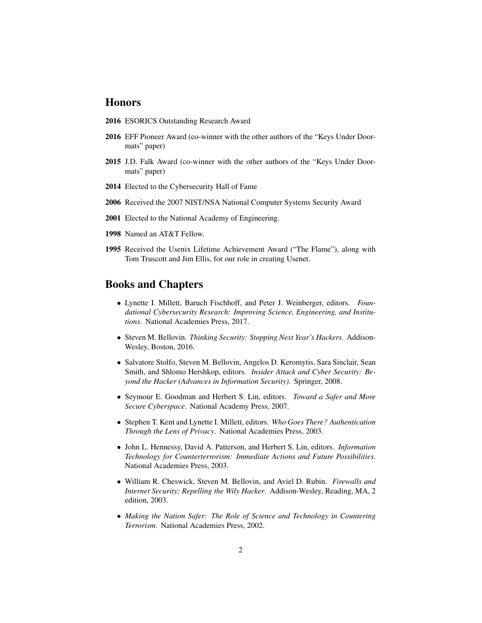#### Honors

- 2016 ESORICS Outstanding Research Award
- 2016 EFF Pioneer Award (co-winner with the other authors of the "Keys Under Doormats" paper)
- 2015 J.D. Falk Award (co-winner with the other authors of the "Keys Under Doormats" paper)
- 2014 Elected to the Cybersecurity Hall of Fame
- 2006 Received the 2007 NIST/NSA National Computer Systems Security Award
- 2001 Elected to the National Academy of Engineering.
- 1998 Named an AT&T Fellow.
- 1995 Received the Usenix Lifetime Achievement Award ("The Flame"), along with Tom Truscott and Jim Ellis, for our role in creating Usenet.

#### Books and Chapters

- Lynette I. Millett, Baruch Fischhoff, and Peter J. Weinberger, editors. *Foundational Cybersecurity Research: Improving Science, Engineering, and Institutions*. National Academies Press, 2017.
- Steven M. Bellovin. *Thinking Security: Stopping Next Year's Hackers*. Addison-Wesley, Boston, 2016.
- Salvatore Stolfo, Steven M. Bellovin, Angelos D. Keromytis, Sara Sinclair, Sean Smith, and Shlomo Hershkop, editors. *Insider Attack and Cyber Security: Beyond the Hacker (Advances in Information Security)*. Springer, 2008.
- Seymour E. Goodman and Herbert S. Lin, editors. *Toward a Safer and More Secure Cyberspace*. National Academy Press, 2007.
- Stephen T. Kent and Lynette I. Millett, editors. *Who Goes There? Authentication Through the Lens of Privacy*. National Academies Press, 2003.
- John L. Hennessy, David A. Patterson, and Herbert S. Lin, editors. *Information Technology for Counterterrorism: Immediate Actions and Future Possibilities*. National Academies Press, 2003.
- William R. Cheswick, Steven M. Bellovin, and Aviel D. Rubin. *Firewalls and Internet Security; Repelling the Wily Hacker*. Addison-Wesley, Reading, MA, 2 edition, 2003.
- *Making the Nation Safer: The Role of Science and Technology in Countering Terrorism*. National Academies Press, 2002.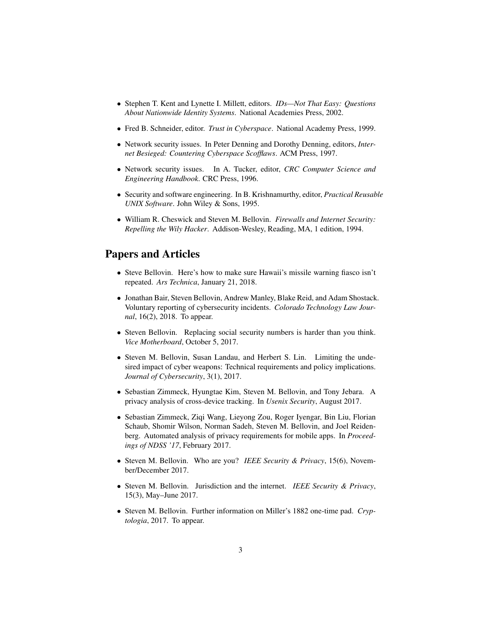- Stephen T. Kent and Lynette I. Millett, editors. *IDs—Not That Easy: Questions About Nationwide Identity Systems*. National Academies Press, 2002.
- Fred B. Schneider, editor. *Trust in Cyberspace*. National Academy Press, 1999.
- Network security issues. In Peter Denning and Dorothy Denning, editors, *Internet Besieged: Countering Cyberspace Scofflaws*. ACM Press, 1997.
- Network security issues. In A. Tucker, editor, *CRC Computer Science and Engineering Handbook*. CRC Press, 1996.
- Security and software engineering. In B. Krishnamurthy, editor, *Practical Reusable UNIX Software*. John Wiley & Sons, 1995.
- William R. Cheswick and Steven M. Bellovin. *Firewalls and Internet Security: Repelling the Wily Hacker*. Addison-Wesley, Reading, MA, 1 edition, 1994.

## Papers and Articles

- Steve Bellovin. Here's how to make sure Hawaii's missile warning fiasco isn't repeated. *Ars Technica*, January 21, 2018.
- Jonathan Bair, Steven Bellovin, Andrew Manley, Blake Reid, and Adam Shostack. Voluntary reporting of cybersecurity incidents. *Colorado Technology Law Journal*, 16(2), 2018. To appear.
- Steven Bellovin. Replacing social security numbers is harder than you think. *Vice Motherboard*, October 5, 2017.
- Steven M. Bellovin, Susan Landau, and Herbert S. Lin. Limiting the undesired impact of cyber weapons: Technical requirements and policy implications. *Journal of Cybersecurity*, 3(1), 2017.
- Sebastian Zimmeck, Hyungtae Kim, Steven M. Bellovin, and Tony Jebara. A privacy analysis of cross-device tracking. In *Usenix Security*, August 2017.
- Sebastian Zimmeck, Ziqi Wang, Lieyong Zou, Roger Iyengar, Bin Liu, Florian Schaub, Shomir Wilson, Norman Sadeh, Steven M. Bellovin, and Joel Reidenberg. Automated analysis of privacy requirements for mobile apps. In *Proceedings of NDSS '17*, February 2017.
- Steven M. Bellovin. Who are you? *IEEE Security & Privacy*, 15(6), November/December 2017.
- Steven M. Bellovin. Jurisdiction and the internet. *IEEE Security & Privacy*, 15(3), May–June 2017.
- Steven M. Bellovin. Further information on Miller's 1882 one-time pad. *Cryptologia*, 2017. To appear.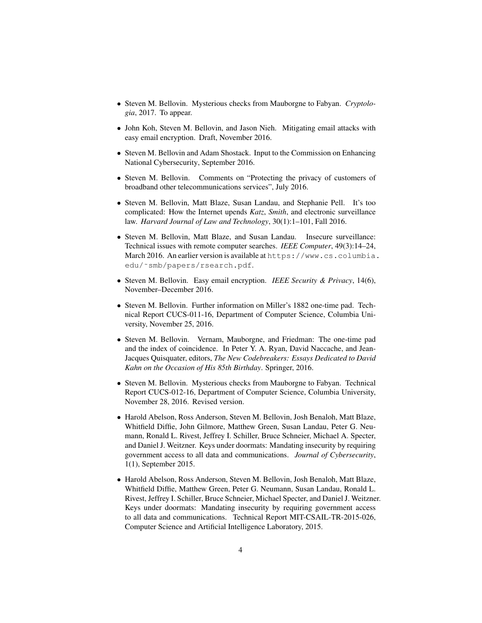- Steven M. Bellovin. Mysterious checks from Mauborgne to Fabyan. *Cryptologia*, 2017. To appear.
- John Koh, Steven M. Bellovin, and Jason Nieh. Mitigating email attacks with easy email encryption. Draft, November 2016.
- Steven M. Bellovin and Adam Shostack. Input to the Commission on Enhancing National Cybersecurity, September 2016.
- Steven M. Bellovin. Comments on "Protecting the privacy of customers of broadband other telecommunications services", July 2016.
- Steven M. Bellovin, Matt Blaze, Susan Landau, and Stephanie Pell. It's too complicated: How the Internet upends *Katz*, *Smith*, and electronic surveillance law. *Harvard Journal of Law and Technology*, 30(1):1–101, Fall 2016.
- Steven M. Bellovin, Matt Blaze, and Susan Landau. Insecure surveillance: Technical issues with remote computer searches. *IEEE Computer*, 49(3):14–24, March 2016. An earlier version is available at https://www.cs.columbia. edu/˜smb/papers/rsearch.pdf.
- Steven M. Bellovin. Easy email encryption. *IEEE Security & Privacy*, 14(6), November–December 2016.
- Steven M. Bellovin. Further information on Miller's 1882 one-time pad. Technical Report CUCS-011-16, Department of Computer Science, Columbia University, November 25, 2016.
- Steven M. Bellovin. Vernam, Mauborgne, and Friedman: The one-time pad and the index of coincidence. In Peter Y. A. Ryan, David Naccache, and Jean-Jacques Quisquater, editors, *The New Codebreakers: Essays Dedicated to David Kahn on the Occasion of His 85th Birthday*. Springer, 2016.
- Steven M. Bellovin. Mysterious checks from Mauborgne to Fabyan. Technical Report CUCS-012-16, Department of Computer Science, Columbia University, November 28, 2016. Revised version.
- Harold Abelson, Ross Anderson, Steven M. Bellovin, Josh Benaloh, Matt Blaze, Whitfield Diffie, John Gilmore, Matthew Green, Susan Landau, Peter G. Neumann, Ronald L. Rivest, Jeffrey I. Schiller, Bruce Schneier, Michael A. Specter, and Daniel J. Weitzner. Keys under doormats: Mandating insecurity by requiring government access to all data and communications. *Journal of Cybersecurity*, 1(1), September 2015.
- Harold Abelson, Ross Anderson, Steven M. Bellovin, Josh Benaloh, Matt Blaze, Whitfield Diffie, Matthew Green, Peter G. Neumann, Susan Landau, Ronald L. Rivest, Jeffrey I. Schiller, Bruce Schneier, Michael Specter, and Daniel J. Weitzner. Keys under doormats: Mandating insecurity by requiring government access to all data and communications. Technical Report MIT-CSAIL-TR-2015-026, Computer Science and Artificial Intelligence Laboratory, 2015.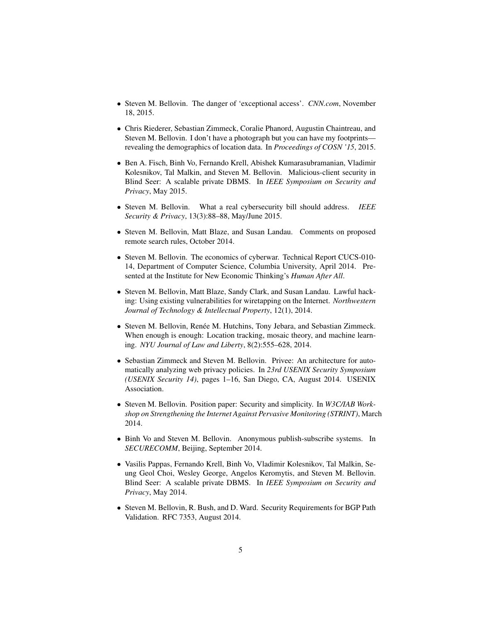- Steven M. Bellovin. The danger of 'exceptional access'. *CNN.com*, November 18, 2015.
- Chris Riederer, Sebastian Zimmeck, Coralie Phanord, Augustin Chaintreau, and Steven M. Bellovin. I don't have a photograph but you can have my footprints revealing the demographics of location data. In *Proceedings of COSN '15*, 2015.
- Ben A. Fisch, Binh Vo, Fernando Krell, Abishek Kumarasubramanian, Vladimir Kolesnikov, Tal Malkin, and Steven M. Bellovin. Malicious-client security in Blind Seer: A scalable private DBMS. In *IEEE Symposium on Security and Privacy*, May 2015.
- Steven M. Bellovin. What a real cybersecurity bill should address. *IEEE Security & Privacy*, 13(3):88–88, May/June 2015.
- Steven M. Bellovin, Matt Blaze, and Susan Landau. Comments on proposed remote search rules, October 2014.
- Steven M. Bellovin. The economics of cyberwar. Technical Report CUCS-010- 14, Department of Computer Science, Columbia University, April 2014. Presented at the Institute for New Economic Thinking's *Human After All*.
- Steven M. Bellovin, Matt Blaze, Sandy Clark, and Susan Landau. Lawful hacking: Using existing vulnerabilities for wiretapping on the Internet. *Northwestern Journal of Technology & Intellectual Property*, 12(1), 2014.
- Steven M. Bellovin, Renée M. Hutchins, Tony Jebara, and Sebastian Zimmeck. When enough is enough: Location tracking, mosaic theory, and machine learning. *NYU Journal of Law and Liberty*, 8(2):555–628, 2014.
- Sebastian Zimmeck and Steven M. Bellovin. Privee: An architecture for automatically analyzing web privacy policies. In *23rd USENIX Security Symposium (USENIX Security 14)*, pages 1–16, San Diego, CA, August 2014. USENIX Association.
- Steven M. Bellovin. Position paper: Security and simplicity. In *W3C/IAB Workshop on Strengthening the Internet Against Pervasive Monitoring (STRINT)*, March 2014.
- Binh Vo and Steven M. Bellovin. Anonymous publish-subscribe systems. In *SECURECOMM*, Beijing, September 2014.
- Vasilis Pappas, Fernando Krell, Binh Vo, Vladimir Kolesnikov, Tal Malkin, Seung Geol Choi, Wesley George, Angelos Keromytis, and Steven M. Bellovin. Blind Seer: A scalable private DBMS. In *IEEE Symposium on Security and Privacy*, May 2014.
- Steven M. Bellovin, R. Bush, and D. Ward. Security Requirements for BGP Path Validation. RFC 7353, August 2014.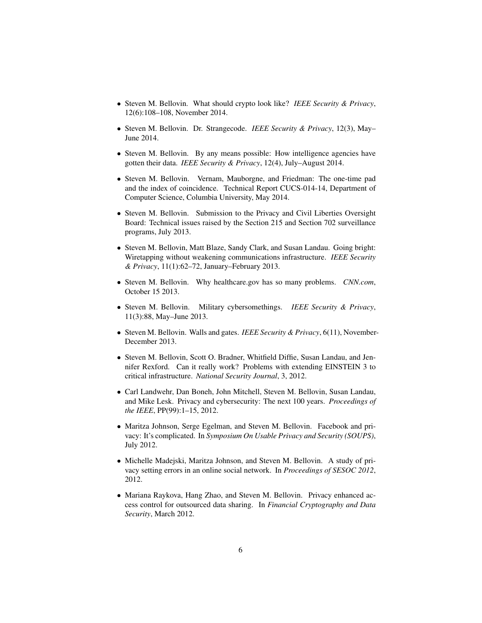- Steven M. Bellovin. What should crypto look like? *IEEE Security & Privacy*, 12(6):108–108, November 2014.
- Steven M. Bellovin. Dr. Strangecode. *IEEE Security & Privacy*, 12(3), May– June 2014.
- Steven M. Bellovin. By any means possible: How intelligence agencies have gotten their data. *IEEE Security & Privacy*, 12(4), July–August 2014.
- Steven M. Bellovin. Vernam, Mauborgne, and Friedman: The one-time pad and the index of coincidence. Technical Report CUCS-014-14, Department of Computer Science, Columbia University, May 2014.
- Steven M. Bellovin. Submission to the Privacy and Civil Liberties Oversight Board: Technical issues raised by the Section 215 and Section 702 surveillance programs, July 2013.
- Steven M. Bellovin, Matt Blaze, Sandy Clark, and Susan Landau. Going bright: Wiretapping without weakening communications infrastructure. *IEEE Security & Privacy*, 11(1):62–72, January–February 2013.
- Steven M. Bellovin. Why healthcare.gov has so many problems. *CNN.com*, October 15 2013.
- Steven M. Bellovin. Military cybersomethings. *IEEE Security & Privacy*, 11(3):88, May–June 2013.
- Steven M. Bellovin. Walls and gates. *IEEE Security & Privacy*, 6(11), November-December 2013.
- Steven M. Bellovin, Scott O. Bradner, Whitfield Diffie, Susan Landau, and Jennifer Rexford. Can it really work? Problems with extending EINSTEIN 3 to critical infrastructure. *National Security Journal*, 3, 2012.
- Carl Landwehr, Dan Boneh, John Mitchell, Steven M. Bellovin, Susan Landau, and Mike Lesk. Privacy and cybersecurity: The next 100 years. *Proceedings of the IEEE*, PP(99):1–15, 2012.
- Maritza Johnson, Serge Egelman, and Steven M. Bellovin. Facebook and privacy: It's complicated. In *Symposium On Usable Privacy and Security (SOUPS)*, July 2012.
- Michelle Madejski, Maritza Johnson, and Steven M. Bellovin. A study of privacy setting errors in an online social network. In *Proceedings of SESOC 2012*, 2012.
- Mariana Raykova, Hang Zhao, and Steven M. Bellovin. Privacy enhanced access control for outsourced data sharing. In *Financial Cryptography and Data Security*, March 2012.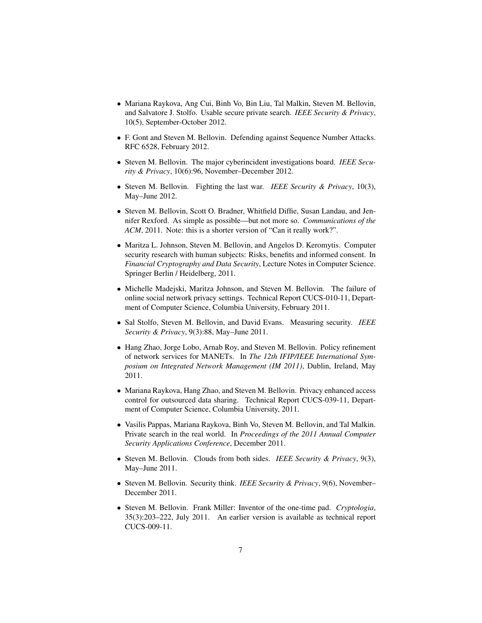- Mariana Raykova, Ang Cui, Binh Vo, Bin Liu, Tal Malkin, Steven M. Bellovin, and Salvatore J. Stolfo. Usable secure private search. *IEEE Security & Privacy*, 10(5), September-October 2012.
- F. Gont and Steven M. Bellovin. Defending against Sequence Number Attacks. RFC 6528, February 2012.
- Steven M. Bellovin. The major cyberincident investigations board. *IEEE Security & Privacy*, 10(6):96, November–December 2012.
- Steven M. Bellovin. Fighting the last war. *IEEE Security & Privacy*, 10(3), May–June 2012.
- Steven M. Bellovin, Scott O. Bradner, Whitfield Diffie, Susan Landau, and Jennifer Rexford. As simple as possible—but not more so. *Communications of the ACM*, 2011. Note: this is a shorter version of "Can it really work?".
- Maritza L. Johnson, Steven M. Bellovin, and Angelos D. Keromytis. Computer security research with human subjects: Risks, benefits and informed consent. In *Financial Cryptography and Data Security*, Lecture Notes in Computer Science. Springer Berlin / Heidelberg, 2011.
- Michelle Madejski, Maritza Johnson, and Steven M. Bellovin. The failure of online social network privacy settings. Technical Report CUCS-010-11, Department of Computer Science, Columbia University, February 2011.
- Sal Stolfo, Steven M. Bellovin, and David Evans. Measuring security. *IEEE Security & Privacy*, 9(3):88, May–June 2011.
- Hang Zhao, Jorge Lobo, Arnab Roy, and Steven M. Bellovin. Policy refinement of network services for MANETs. In *The 12th IFIP/IEEE International Symposium on Integrated Network Management (IM 2011)*, Dublin, Ireland, May 2011.
- Mariana Raykova, Hang Zhao, and Steven M. Bellovin. Privacy enhanced access control for outsourced data sharing. Technical Report CUCS-039-11, Department of Computer Science, Columbia University, 2011.
- Vasilis Pappas, Mariana Raykova, Binh Vo, Steven M. Bellovin, and Tal Malkin. Private search in the real world. In *Proceedings of the 2011 Annual Computer Security Applications Conference*, December 2011.
- Steven M. Bellovin. Clouds from both sides. *IEEE Security & Privacy*, 9(3), May–June 2011.
- Steven M. Bellovin. Security think. *IEEE Security & Privacy*, 9(6), November– December 2011.
- Steven M. Bellovin. Frank Miller: Inventor of the one-time pad. *Cryptologia*, 35(3):203–222, July 2011. An earlier version is available as technical report CUCS-009-11.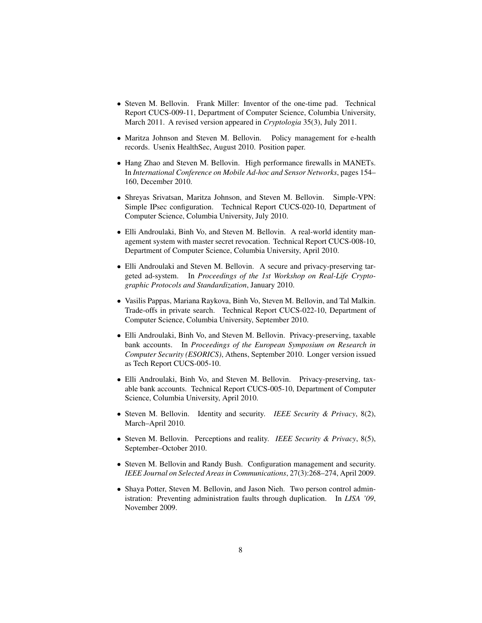- Steven M. Bellovin. Frank Miller: Inventor of the one-time pad. Technical Report CUCS-009-11, Department of Computer Science, Columbia University, March 2011. A revised version appeared in *Cryptologia* 35(3), July 2011.
- Maritza Johnson and Steven M. Bellovin. Policy management for e-health records. Usenix HealthSec, August 2010. Position paper.
- Hang Zhao and Steven M. Bellovin. High performance firewalls in MANETs. In *International Conference on Mobile Ad-hoc and Sensor Networks*, pages 154– 160, December 2010.
- Shreyas Srivatsan, Maritza Johnson, and Steven M. Bellovin. Simple-VPN: Simple IPsec configuration. Technical Report CUCS-020-10, Department of Computer Science, Columbia University, July 2010.
- Elli Androulaki, Binh Vo, and Steven M. Bellovin. A real-world identity management system with master secret revocation. Technical Report CUCS-008-10, Department of Computer Science, Columbia University, April 2010.
- Elli Androulaki and Steven M. Bellovin. A secure and privacy-preserving targeted ad-system. In *Proceedings of the 1st Workshop on Real-Life Cryptographic Protocols and Standardization*, January 2010.
- Vasilis Pappas, Mariana Raykova, Binh Vo, Steven M. Bellovin, and Tal Malkin. Trade-offs in private search. Technical Report CUCS-022-10, Department of Computer Science, Columbia University, September 2010.
- Elli Androulaki, Binh Vo, and Steven M. Bellovin. Privacy-preserving, taxable bank accounts. In *Proceedings of the European Symposium on Research in Computer Security (ESORICS)*, Athens, September 2010. Longer version issued as Tech Report CUCS-005-10.
- Elli Androulaki, Binh Vo, and Steven M. Bellovin. Privacy-preserving, taxable bank accounts. Technical Report CUCS-005-10, Department of Computer Science, Columbia University, April 2010.
- Steven M. Bellovin. Identity and security. *IEEE Security & Privacy*, 8(2), March–April 2010.
- Steven M. Bellovin. Perceptions and reality. *IEEE Security & Privacy*, 8(5), September–October 2010.
- Steven M. Bellovin and Randy Bush. Configuration management and security. *IEEE Journal on Selected Areas in Communications*, 27(3):268–274, April 2009.
- Shaya Potter, Steven M. Bellovin, and Jason Nieh. Two person control administration: Preventing administration faults through duplication. In *LISA '09*, November 2009.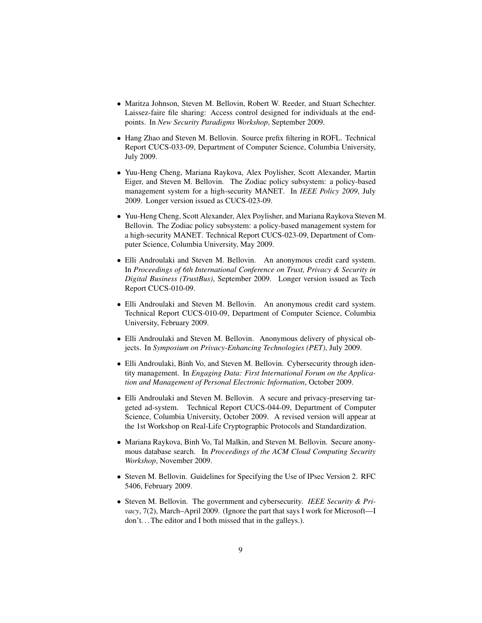- Maritza Johnson, Steven M. Bellovin, Robert W. Reeder, and Stuart Schechter. Laissez-faire file sharing: Access control designed for individuals at the endpoints. In *New Security Paradigms Workshop*, September 2009.
- Hang Zhao and Steven M. Bellovin. Source prefix filtering in ROFL. Technical Report CUCS-033-09, Department of Computer Science, Columbia University, July 2009.
- Yuu-Heng Cheng, Mariana Raykova, Alex Poylisher, Scott Alexander, Martin Eiger, and Steven M. Bellovin. The Zodiac policy subsystem: a policy-based management system for a high-security MANET. In *IEEE Policy 2009*, July 2009. Longer version issued as CUCS-023-09.
- Yuu-Heng Cheng, Scott Alexander, Alex Poylisher, and Mariana Raykova Steven M. Bellovin. The Zodiac policy subsystem: a policy-based management system for a high-security MANET. Technical Report CUCS-023-09, Department of Computer Science, Columbia University, May 2009.
- Elli Androulaki and Steven M. Bellovin. An anonymous credit card system. In *Proceedings of 6th International Conference on Trust, Privacy & Security in Digital Business (TrustBus)*, September 2009. Longer version issued as Tech Report CUCS-010-09.
- Elli Androulaki and Steven M. Bellovin. An anonymous credit card system. Technical Report CUCS-010-09, Department of Computer Science, Columbia University, February 2009.
- Elli Androulaki and Steven M. Bellovin. Anonymous delivery of physical objects. In *Symposium on Privacy-Enhancing Technologies (PET)*, July 2009.
- Elli Androulaki, Binh Vo, and Steven M. Bellovin. Cybersecurity through identity management. In *Engaging Data: First International Forum on the Application and Management of Personal Electronic Information*, October 2009.
- Elli Androulaki and Steven M. Bellovin. A secure and privacy-preserving targeted ad-system. Technical Report CUCS-044-09, Department of Computer Science, Columbia University, October 2009. A revised version will appear at the 1st Workshop on Real-Life Cryptographic Protocols and Standardization.
- Mariana Raykova, Binh Vo, Tal Malkin, and Steven M. Bellovin. Secure anonymous database search. In *Proceedings of the ACM Cloud Computing Security Workshop*, November 2009.
- Steven M. Bellovin. Guidelines for Specifying the Use of IPsec Version 2. RFC 5406, February 2009.
- Steven M. Bellovin. The government and cybersecurity. *IEEE Security & Privacy*, 7(2), March–April 2009. (Ignore the part that says I work for Microsoft—I don't. . . The editor and I both missed that in the galleys.).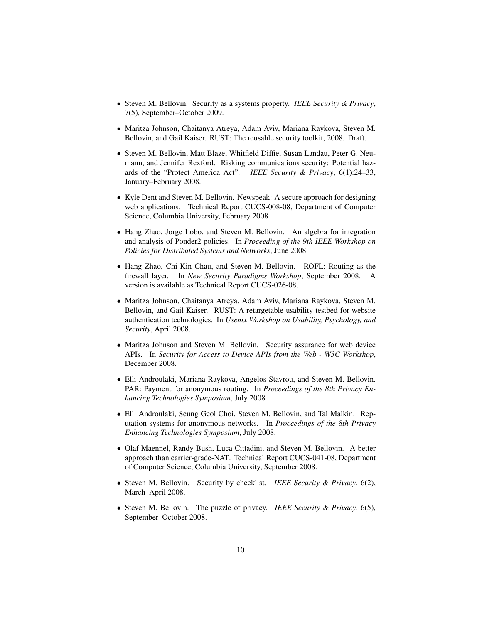- Steven M. Bellovin. Security as a systems property. *IEEE Security & Privacy*, 7(5), September–October 2009.
- Maritza Johnson, Chaitanya Atreya, Adam Aviv, Mariana Raykova, Steven M. Bellovin, and Gail Kaiser. RUST: The reusable security toolkit, 2008. Draft.
- Steven M. Bellovin, Matt Blaze, Whitfield Diffie, Susan Landau, Peter G. Neumann, and Jennifer Rexford. Risking communications security: Potential hazards of the "Protect America Act". *IEEE Security & Privacy*, 6(1):24–33, January–February 2008.
- Kyle Dent and Steven M. Bellovin. Newspeak: A secure approach for designing web applications. Technical Report CUCS-008-08, Department of Computer Science, Columbia University, February 2008.
- Hang Zhao, Jorge Lobo, and Steven M. Bellovin. An algebra for integration and analysis of Ponder2 policies. In *Proceeding of the 9th IEEE Workshop on Policies for Distributed Systems and Networks*, June 2008.
- Hang Zhao, Chi-Kin Chau, and Steven M. Bellovin. ROFL: Routing as the firewall layer. In *New Security Paradigms Workshop*, September 2008. A version is available as Technical Report CUCS-026-08.
- Maritza Johnson, Chaitanya Atreya, Adam Aviv, Mariana Raykova, Steven M. Bellovin, and Gail Kaiser. RUST: A retargetable usability testbed for website authentication technologies. In *Usenix Workshop on Usability, Psychology, and Security*, April 2008.
- Maritza Johnson and Steven M. Bellovin. Security assurance for web device APIs. In *Security for Access to Device APIs from the Web - W3C Workshop*, December 2008.
- Elli Androulaki, Mariana Raykova, Angelos Stavrou, and Steven M. Bellovin. PAR: Payment for anonymous routing. In *Proceedings of the 8th Privacy Enhancing Technologies Symposium*, July 2008.
- Elli Androulaki, Seung Geol Choi, Steven M. Bellovin, and Tal Malkin. Reputation systems for anonymous networks. In *Proceedings of the 8th Privacy Enhancing Technologies Symposium*, July 2008.
- Olaf Maennel, Randy Bush, Luca Cittadini, and Steven M. Bellovin. A better approach than carrier-grade-NAT. Technical Report CUCS-041-08, Department of Computer Science, Columbia University, September 2008.
- Steven M. Bellovin. Security by checklist. *IEEE Security & Privacy*, 6(2), March–April 2008.
- Steven M. Bellovin. The puzzle of privacy. *IEEE Security & Privacy*, 6(5), September–October 2008.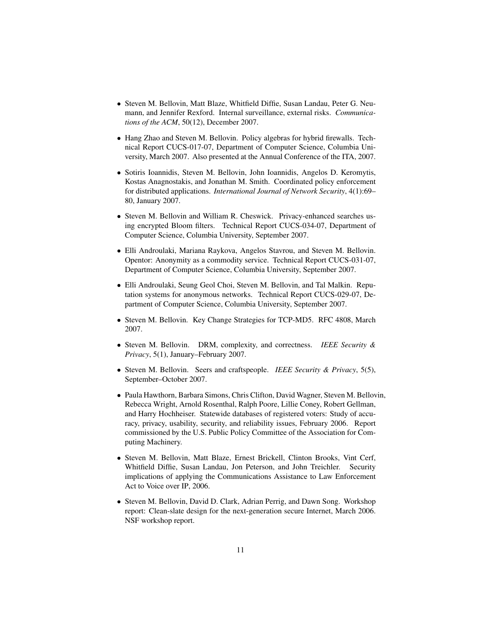- Steven M. Bellovin, Matt Blaze, Whitfield Diffie, Susan Landau, Peter G. Neumann, and Jennifer Rexford. Internal surveillance, external risks. *Communications of the ACM*, 50(12), December 2007.
- Hang Zhao and Steven M. Bellovin. Policy algebras for hybrid firewalls. Technical Report CUCS-017-07, Department of Computer Science, Columbia University, March 2007. Also presented at the Annual Conference of the ITA, 2007.
- Sotiris Ioannidis, Steven M. Bellovin, John Ioannidis, Angelos D. Keromytis, Kostas Anagnostakis, and Jonathan M. Smith. Coordinated policy enforcement for distributed applications. *International Journal of Network Security*, 4(1):69– 80, January 2007.
- Steven M. Bellovin and William R. Cheswick. Privacy-enhanced searches using encrypted Bloom filters. Technical Report CUCS-034-07, Department of Computer Science, Columbia University, September 2007.
- Elli Androulaki, Mariana Raykova, Angelos Stavrou, and Steven M. Bellovin. Opentor: Anonymity as a commodity service. Technical Report CUCS-031-07, Department of Computer Science, Columbia University, September 2007.
- Elli Androulaki, Seung Geol Choi, Steven M. Bellovin, and Tal Malkin. Reputation systems for anonymous networks. Technical Report CUCS-029-07, Department of Computer Science, Columbia University, September 2007.
- Steven M. Bellovin. Key Change Strategies for TCP-MD5. RFC 4808, March 2007.
- Steven M. Bellovin. DRM, complexity, and correctness. *IEEE Security & Privacy*, 5(1), January–February 2007.
- Steven M. Bellovin. Seers and craftspeople. *IEEE Security & Privacy*, 5(5), September–October 2007.
- Paula Hawthorn, Barbara Simons, Chris Clifton, David Wagner, Steven M. Bellovin, Rebecca Wright, Arnold Rosenthal, Ralph Poore, Lillie Coney, Robert Gellman, and Harry Hochheiser. Statewide databases of registered voters: Study of accuracy, privacy, usability, security, and reliability issues, February 2006. Report commissioned by the U.S. Public Policy Committee of the Association for Computing Machinery.
- Steven M. Bellovin, Matt Blaze, Ernest Brickell, Clinton Brooks, Vint Cerf, Whitfield Diffie, Susan Landau, Jon Peterson, and John Treichler. Security implications of applying the Communications Assistance to Law Enforcement Act to Voice over IP, 2006.
- Steven M. Bellovin, David D. Clark, Adrian Perrig, and Dawn Song. Workshop report: Clean-slate design for the next-generation secure Internet, March 2006. NSF workshop report.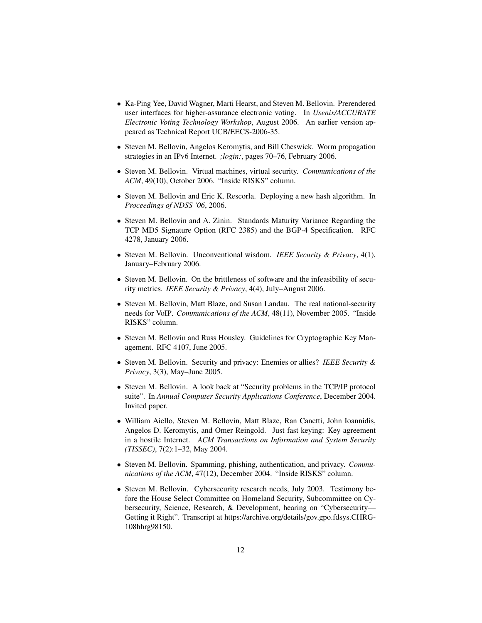- Ka-Ping Yee, David Wagner, Marti Hearst, and Steven M. Bellovin. Prerendered user interfaces for higher-assurance electronic voting. In *Usenix/ACCURATE Electronic Voting Technology Workshop*, August 2006. An earlier version appeared as Technical Report UCB/EECS-2006-35.
- Steven M. Bellovin, Angelos Keromytis, and Bill Cheswick. Worm propagation strategies in an IPv6 Internet. *;login:*, pages 70–76, February 2006.
- Steven M. Bellovin. Virtual machines, virtual security. *Communications of the ACM*, 49(10), October 2006. "Inside RISKS" column.
- Steven M. Bellovin and Eric K. Rescorla. Deploying a new hash algorithm. In *Proceedings of NDSS '06*, 2006.
- Steven M. Bellovin and A. Zinin. Standards Maturity Variance Regarding the TCP MD5 Signature Option (RFC 2385) and the BGP-4 Specification. RFC 4278, January 2006.
- Steven M. Bellovin. Unconventional wisdom. *IEEE Security & Privacy*, 4(1), January–February 2006.
- Steven M. Bellovin. On the brittleness of software and the infeasibility of security metrics. *IEEE Security & Privacy*, 4(4), July–August 2006.
- Steven M. Bellovin, Matt Blaze, and Susan Landau. The real national-security needs for VoIP. *Communications of the ACM*, 48(11), November 2005. "Inside RISKS" column.
- Steven M. Bellovin and Russ Housley. Guidelines for Cryptographic Key Management. RFC 4107, June 2005.
- Steven M. Bellovin. Security and privacy: Enemies or allies? *IEEE Security & Privacy*, 3(3), May–June 2005.
- Steven M. Bellovin. A look back at "Security problems in the TCP/IP protocol suite". In *Annual Computer Security Applications Conference*, December 2004. Invited paper.
- William Aiello, Steven M. Bellovin, Matt Blaze, Ran Canetti, John Ioannidis, Angelos D. Keromytis, and Omer Reingold. Just fast keying: Key agreement in a hostile Internet. *ACM Transactions on Information and System Security (TISSEC)*, 7(2):1–32, May 2004.
- Steven M. Bellovin. Spamming, phishing, authentication, and privacy. *Communications of the ACM*, 47(12), December 2004. "Inside RISKS" column.
- Steven M. Bellovin. Cybersecurity research needs, July 2003. Testimony before the House Select Committee on Homeland Security, Subcommittee on Cybersecurity, Science, Research, & Development, hearing on "Cybersecurity— Getting it Right". Transcript at https://archive.org/details/gov.gpo.fdsys.CHRG-108hhrg98150.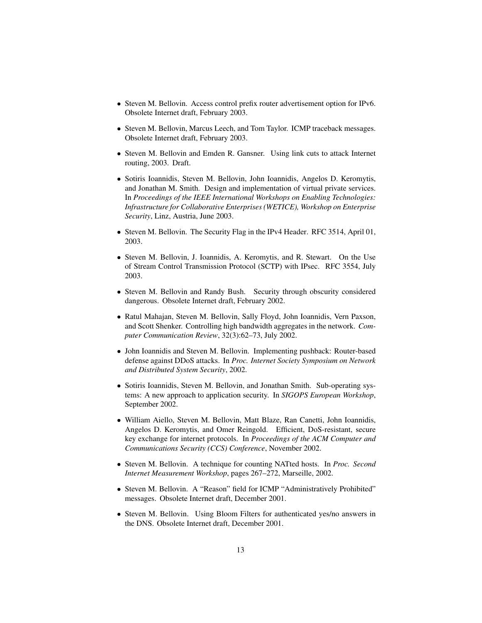- Steven M. Bellovin. Access control prefix router advertisement option for IPv6. Obsolete Internet draft, February 2003.
- Steven M. Bellovin, Marcus Leech, and Tom Taylor. ICMP traceback messages. Obsolete Internet draft, February 2003.
- Steven M. Bellovin and Emden R. Gansner. Using link cuts to attack Internet routing, 2003. Draft.
- Sotiris Ioannidis, Steven M. Bellovin, John Ioannidis, Angelos D. Keromytis, and Jonathan M. Smith. Design and implementation of virtual private services. In *Proceedings of the IEEE International Workshops on Enabling Technologies: Infrastructure for Collaborative Enterprises (WETICE), Workshop on Enterprise Security*, Linz, Austria, June 2003.
- Steven M. Bellovin. The Security Flag in the IPv4 Header. RFC 3514, April 01, 2003.
- Steven M. Bellovin, J. Ioannidis, A. Keromytis, and R. Stewart. On the Use of Stream Control Transmission Protocol (SCTP) with IPsec. RFC 3554, July 2003.
- Steven M. Bellovin and Randy Bush. Security through obscurity considered dangerous. Obsolete Internet draft, February 2002.
- Ratul Mahajan, Steven M. Bellovin, Sally Floyd, John Ioannidis, Vern Paxson, and Scott Shenker. Controlling high bandwidth aggregates in the network. *Computer Communication Review*, 32(3):62–73, July 2002.
- John Ioannidis and Steven M. Bellovin. Implementing pushback: Router-based defense against DDoS attacks. In *Proc. Internet Society Symposium on Network and Distributed System Security*, 2002.
- Sotiris Ioannidis, Steven M. Bellovin, and Jonathan Smith. Sub-operating systems: A new approach to application security. In *SIGOPS European Workshop*, September 2002.
- William Aiello, Steven M. Bellovin, Matt Blaze, Ran Canetti, John Ioannidis, Angelos D. Keromytis, and Omer Reingold. Efficient, DoS-resistant, secure key exchange for internet protocols. In *Proceedings of the ACM Computer and Communications Security (CCS) Conference*, November 2002.
- Steven M. Bellovin. A technique for counting NATted hosts. In *Proc. Second Internet Measurement Workshop*, pages 267–272, Marseille, 2002.
- Steven M. Bellovin. A "Reason" field for ICMP "Administratively Prohibited" messages. Obsolete Internet draft, December 2001.
- Steven M. Bellovin. Using Bloom Filters for authenticated yes/no answers in the DNS. Obsolete Internet draft, December 2001.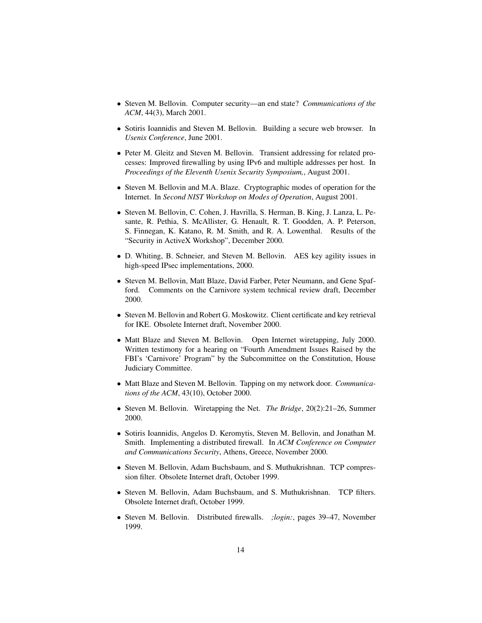- Steven M. Bellovin. Computer security—an end state? *Communications of the ACM*, 44(3), March 2001.
- Sotiris Ioannidis and Steven M. Bellovin. Building a secure web browser. In *Usenix Conference*, June 2001.
- Peter M. Gleitz and Steven M. Bellovin. Transient addressing for related processes: Improved firewalling by using IPv6 and multiple addresses per host. In *Proceedings of the Eleventh Usenix Security Symposium,*, August 2001.
- Steven M. Bellovin and M.A. Blaze. Cryptographic modes of operation for the Internet. In *Second NIST Workshop on Modes of Operation*, August 2001.
- Steven M. Bellovin, C. Cohen, J. Havrilla, S. Herman, B. King, J. Lanza, L. Pesante, R. Pethia, S. McAllister, G. Henault, R. T. Goodden, A. P. Peterson, S. Finnegan, K. Katano, R. M. Smith, and R. A. Lowenthal. Results of the "Security in ActiveX Workshop", December 2000.
- D. Whiting, B. Schneier, and Steven M. Bellovin. AES key agility issues in high-speed IPsec implementations, 2000.
- Steven M. Bellovin, Matt Blaze, David Farber, Peter Neumann, and Gene Spafford. Comments on the Carnivore system technical review draft, December 2000.
- Steven M. Bellovin and Robert G. Moskowitz. Client certificate and key retrieval for IKE. Obsolete Internet draft, November 2000.
- Matt Blaze and Steven M. Bellovin. Open Internet wiretapping, July 2000. Written testimony for a hearing on "Fourth Amendment Issues Raised by the FBI's 'Carnivore' Program" by the Subcommittee on the Constitution, House Judiciary Committee.
- Matt Blaze and Steven M. Bellovin. Tapping on my network door. *Communications of the ACM*, 43(10), October 2000.
- Steven M. Bellovin. Wiretapping the Net. *The Bridge*, 20(2):21–26, Summer 2000.
- Sotiris Ioannidis, Angelos D. Keromytis, Steven M. Bellovin, and Jonathan M. Smith. Implementing a distributed firewall. In *ACM Conference on Computer and Communications Security*, Athens, Greece, November 2000.
- Steven M. Bellovin, Adam Buchsbaum, and S. Muthukrishnan. TCP compression filter. Obsolete Internet draft, October 1999.
- Steven M. Bellovin, Adam Buchsbaum, and S. Muthukrishnan. TCP filters. Obsolete Internet draft, October 1999.
- Steven M. Bellovin. Distributed firewalls. *;login:*, pages 39–47, November 1999.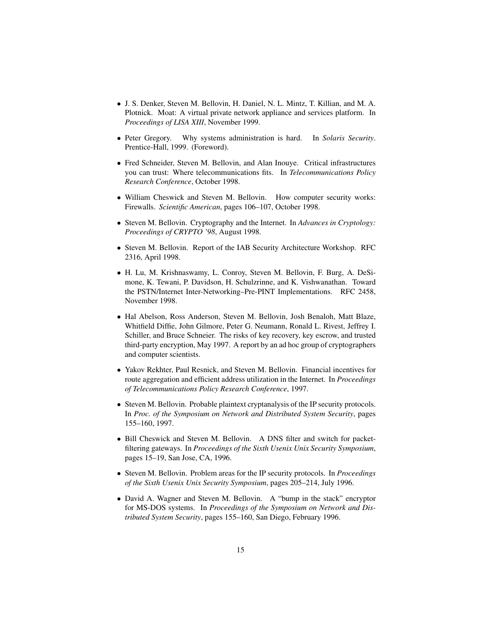- J. S. Denker, Steven M. Bellovin, H. Daniel, N. L. Mintz, T. Killian, and M. A. Plotnick. Moat: A virtual private network appliance and services platform. In *Proceedings of LISA XIII*, November 1999.
- Peter Gregory. Why systems administration is hard. In *Solaris Security*. Prentice-Hall, 1999. (Foreword).
- Fred Schneider, Steven M. Bellovin, and Alan Inouye. Critical infrastructures you can trust: Where telecommunications fits. In *Telecommunications Policy Research Conference*, October 1998.
- William Cheswick and Steven M. Bellovin. How computer security works: Firewalls. *Scientific American*, pages 106–107, October 1998.
- Steven M. Bellovin. Cryptography and the Internet. In *Advances in Cryptology: Proceedings of CRYPTO '98*, August 1998.
- Steven M. Bellovin. Report of the IAB Security Architecture Workshop. RFC 2316, April 1998.
- H. Lu, M. Krishnaswamy, L. Conroy, Steven M. Bellovin, F. Burg, A. DeSimone, K. Tewani, P. Davidson, H. Schulzrinne, and K. Vishwanathan. Toward the PSTN/Internet Inter-Networking–Pre-PINT Implementations. RFC 2458, November 1998.
- Hal Abelson, Ross Anderson, Steven M. Bellovin, Josh Benaloh, Matt Blaze, Whitfield Diffie, John Gilmore, Peter G. Neumann, Ronald L. Rivest, Jeffrey I. Schiller, and Bruce Schneier. The risks of key recovery, key escrow, and trusted third-party encryption, May 1997. A report by an ad hoc group of cryptographers and computer scientists.
- Yakov Rekhter, Paul Resnick, and Steven M. Bellovin. Financial incentives for route aggregation and efficient address utilization in the Internet. In *Proceedings of Telecommunications Policy Research Conference*, 1997.
- Steven M. Bellovin. Probable plaintext cryptanalysis of the IP security protocols. In *Proc. of the Symposium on Network and Distributed System Security*, pages 155–160, 1997.
- Bill Cheswick and Steven M. Bellovin. A DNS filter and switch for packetfiltering gateways. In *Proceedings of the Sixth Usenix Unix Security Symposium*, pages 15–19, San Jose, CA, 1996.
- Steven M. Bellovin. Problem areas for the IP security protocols. In *Proceedings of the Sixth Usenix Unix Security Symposium*, pages 205–214, July 1996.
- David A. Wagner and Steven M. Bellovin. A "bump in the stack" encryptor for MS-DOS systems. In *Proceedings of the Symposium on Network and Distributed System Security*, pages 155–160, San Diego, February 1996.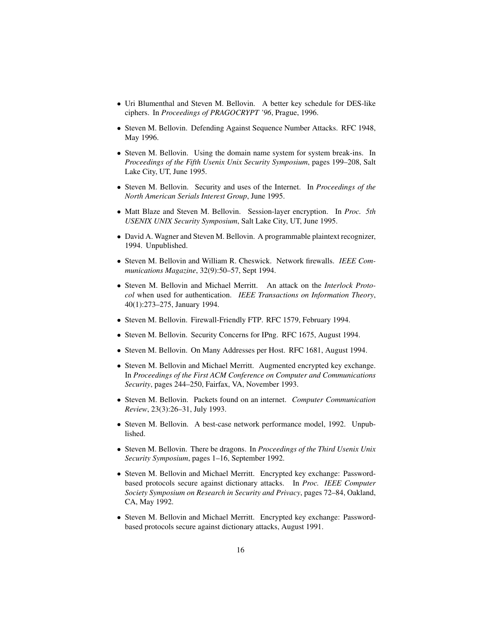- Uri Blumenthal and Steven M. Bellovin. A better key schedule for DES-like ciphers. In *Proceedings of PRAGOCRYPT '96*, Prague, 1996.
- Steven M. Bellovin. Defending Against Sequence Number Attacks. RFC 1948, May 1996.
- Steven M. Bellovin. Using the domain name system for system break-ins. In *Proceedings of the Fifth Usenix Unix Security Symposium*, pages 199–208, Salt Lake City, UT, June 1995.
- Steven M. Bellovin. Security and uses of the Internet. In *Proceedings of the North American Serials Interest Group*, June 1995.
- Matt Blaze and Steven M. Bellovin. Session-layer encryption. In *Proc. 5th USENIX UNIX Security Symposium*, Salt Lake City, UT, June 1995.
- David A. Wagner and Steven M. Bellovin. A programmable plaintext recognizer, 1994. Unpublished.
- Steven M. Bellovin and William R. Cheswick. Network firewalls. *IEEE Communications Magazine*, 32(9):50–57, Sept 1994.
- Steven M. Bellovin and Michael Merritt. An attack on the *Interlock Protocol* when used for authentication. *IEEE Transactions on Information Theory*, 40(1):273–275, January 1994.
- Steven M. Bellovin. Firewall-Friendly FTP. RFC 1579, February 1994.
- Steven M. Bellovin. Security Concerns for IPng. RFC 1675, August 1994.
- Steven M. Bellovin. On Many Addresses per Host. RFC 1681, August 1994.
- Steven M. Bellovin and Michael Merritt. Augmented encrypted key exchange. In *Proceedings of the First ACM Conference on Computer and Communications Security*, pages 244–250, Fairfax, VA, November 1993.
- Steven M. Bellovin. Packets found on an internet. *Computer Communication Review*, 23(3):26–31, July 1993.
- Steven M. Bellovin. A best-case network performance model, 1992. Unpublished.
- Steven M. Bellovin. There be dragons. In *Proceedings of the Third Usenix Unix Security Symposium*, pages 1–16, September 1992.
- Steven M. Bellovin and Michael Merritt. Encrypted key exchange: Passwordbased protocols secure against dictionary attacks. In *Proc. IEEE Computer Society Symposium on Research in Security and Privacy*, pages 72–84, Oakland, CA, May 1992.
- Steven M. Bellovin and Michael Merritt. Encrypted key exchange: Passwordbased protocols secure against dictionary attacks, August 1991.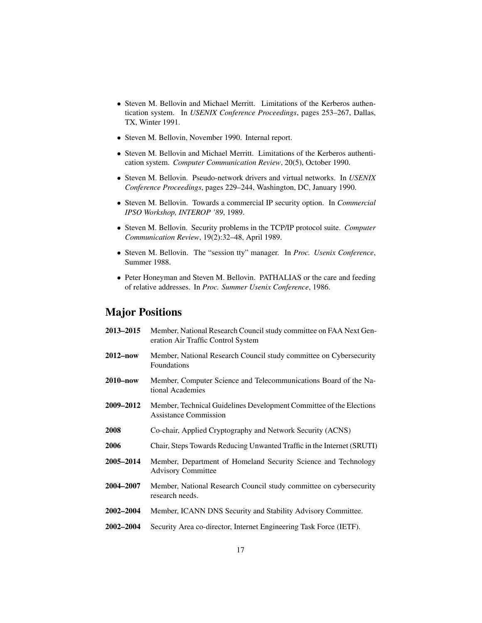- Steven M. Bellovin and Michael Merritt. Limitations of the Kerberos authentication system. In *USENIX Conference Proceedings*, pages 253–267, Dallas, TX, Winter 1991.
- Steven M. Bellovin, November 1990. Internal report.
- Steven M. Bellovin and Michael Merritt. Limitations of the Kerberos authentication system. *Computer Communication Review*, 20(5), October 1990.
- Steven M. Bellovin. Pseudo-network drivers and virtual networks. In *USENIX Conference Proceedings*, pages 229–244, Washington, DC, January 1990.
- Steven M. Bellovin. Towards a commercial IP security option. In *Commercial IPSO Workshop, INTEROP '89*, 1989.
- Steven M. Bellovin. Security problems in the TCP/IP protocol suite. *Computer Communication Review*, 19(2):32–48, April 1989.
- Steven M. Bellovin. The "session tty" manager. In *Proc. Usenix Conference*, Summer 1988.
- Peter Honeyman and Steven M. Bellovin. PATHALIAS or the care and feeding of relative addresses. In *Proc. Summer Usenix Conference*, 1986.

## Major Positions

| 2013–2015        | Member, National Research Council study committee on FAA Next Gen-<br>eration Air Traffic Control System |
|------------------|----------------------------------------------------------------------------------------------------------|
| 2012–now         | Member, National Research Council study committee on Cybersecurity<br>Foundations                        |
| 2010–now         | Member, Computer Science and Telecommunications Board of the Na-<br>tional Academies                     |
| 2009–2012        | Member, Technical Guidelines Development Committee of the Elections<br><b>Assistance Commission</b>      |
| <b>2008</b>      | Co-chair, Applied Cryptography and Network Security (ACNS)                                               |
| 2006             | Chair, Steps Towards Reducing Unwanted Traffic in the Internet (SRUTI)                                   |
| 2005–2014        | Member, Department of Homeland Security Science and Technology<br><b>Advisory Committee</b>              |
| <b>2004–2007</b> | Member, National Research Council study committee on cybersecurity<br>research needs.                    |
| <b>2002–2004</b> | Member, ICANN DNS Security and Stability Advisory Committee.                                             |
| <b>2002–2004</b> | Security Area co-director, Internet Engineering Task Force (IETF).                                       |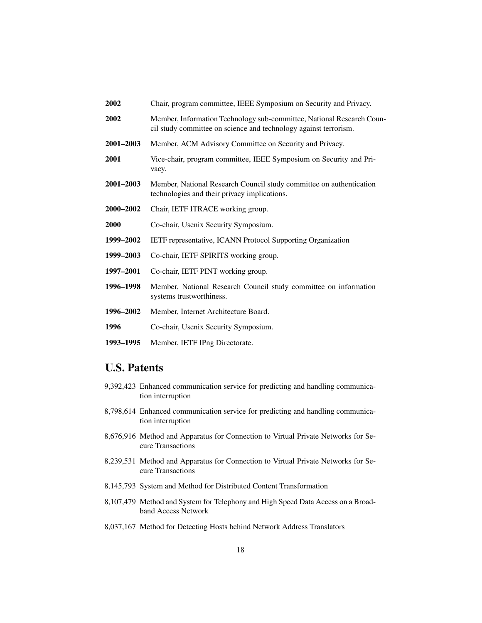- 2002 Chair, program committee, IEEE Symposium on Security and Privacy.
- 2002 Member, Information Technology sub-committee, National Research Council study committee on science and technology against terrorism.
- 2001–2003 Member, ACM Advisory Committee on Security and Privacy.
- 2001 Vice-chair, program committee, IEEE Symposium on Security and Privacy.
- 2001–2003 Member, National Research Council study committee on authentication technologies and their privacy implications.
- 2000–2002 Chair, IETF ITRACE working group.
- 2000 Co-chair, Usenix Security Symposium.
- 1999–2002 IETF representative, ICANN Protocol Supporting Organization
- 1999–2003 Co-chair, IETF SPIRITS working group.
- 1997–2001 Co-chair, IETF PINT working group.
- 1996–1998 Member, National Research Council study committee on information systems trustworthiness.
- 1996–2002 Member, Internet Architecture Board.
- 1996 Co-chair, Usenix Security Symposium.
- 1993–1995 Member, IETF IPng Directorate.

### U.S. Patents

- 9,392,423 Enhanced communication service for predicting and handling communication interruption
- 8,798,614 Enhanced communication service for predicting and handling communication interruption
- 8,676,916 Method and Apparatus for Connection to Virtual Private Networks for Secure Transactions
- 8,239,531 Method and Apparatus for Connection to Virtual Private Networks for Secure Transactions
- 8,145,793 System and Method for Distributed Content Transformation
- 8,107,479 Method and System for Telephony and High Speed Data Access on a Broadband Access Network
- 8,037,167 Method for Detecting Hosts behind Network Address Translators